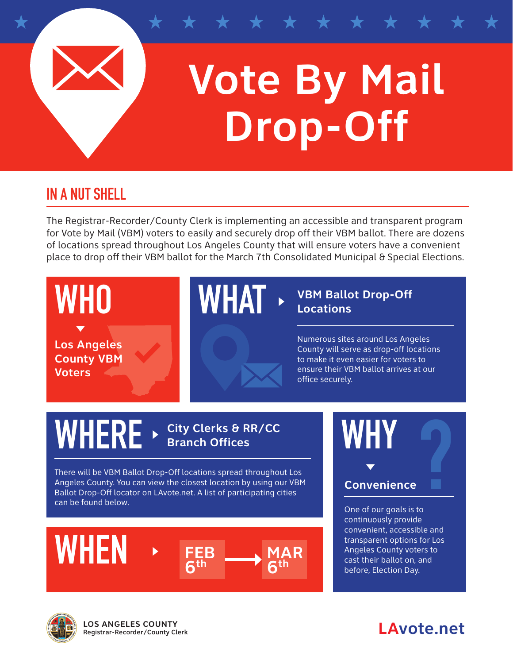

## **Vote By Mail Drop-Off**

## **IN A NUT SHELL**

The Registrar-Recorder/County Clerk is implementing an accessible and transparent program for Vote by Mail (VBM) voters to easily and securely drop off their VBM ballot. There are dozens of locations spread throughout Los Angeles County that will ensure voters have a convenient place to drop off their VBM ballot for the March 7th Consolidated Municipal & Special Elections.



**LAvote.net LOS ANGELES COUNTY** Registrar-Recorder/County Clerk